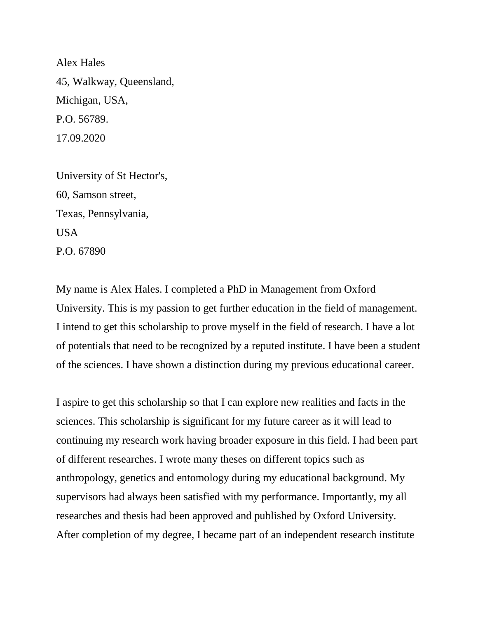Alex Hales 45, Walkway, Queensland, Michigan, USA, P.O. 56789. 17.09.2020

University of St Hector's, 60, Samson street, Texas, Pennsylvania, USA P.O. 67890

My name is Alex Hales. I completed a PhD in Management from Oxford University. This is my passion to get further education in the field of management. I intend to get this scholarship to prove myself in the field of research. I have a lot of potentials that need to be recognized by a reputed institute. I have been a student of the sciences. I have shown a distinction during my previous educational career.

I aspire to get this scholarship so that I can explore new realities and facts in the sciences. This scholarship is significant for my future career as it will lead to continuing my research work having broader exposure in this field. I had been part of different researches. I wrote many theses on different topics such as anthropology, genetics and entomology during my educational background. My supervisors had always been satisfied with my performance. Importantly, my all researches and thesis had been approved and published by Oxford University. After completion of my degree, I became part of an independent research institute